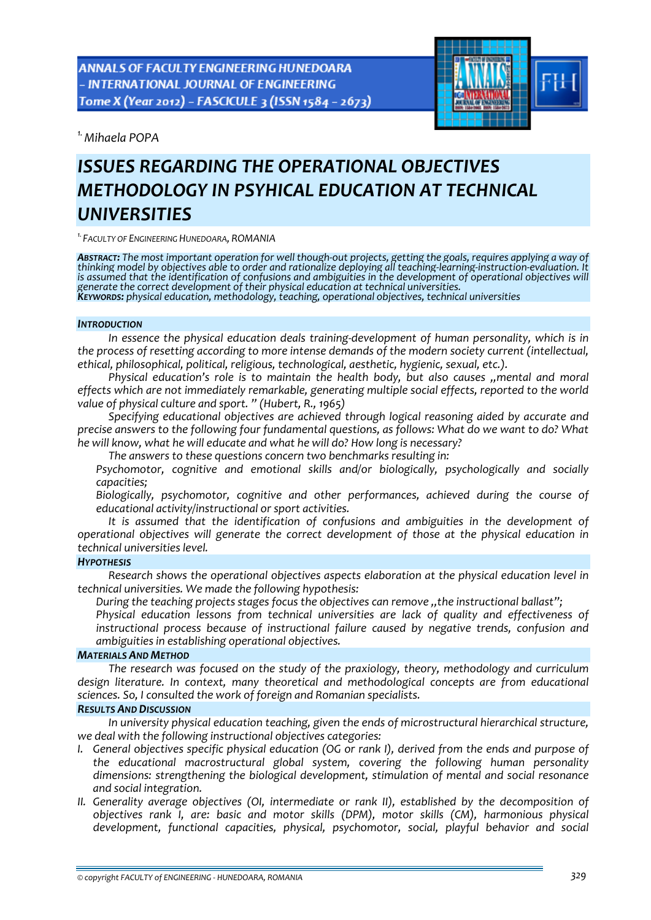ANNALS OF FACULTY ENGINEERING HUNEDOARA - INTERNATIONAL JOURNAL OF ENGINEERING Tome X (Year 2012) - FASCICULE 3 (ISSN 1584 - 2673)



*1.Mihaela POPA* 

# *ISSUES REGARDING THE OPERATIONAL OBJECTIVES METHODOLOGY IN PSYHICAL EDUCATION AT TECHNICAL UNIVERSITIES*

*1.FACULTY OF ENGINEERING HUNEDOARA, ROMANIA*

**ABSTRACT:** The most important operation for well though-out projects, getting the goals, requires applying a way of<br>thinking model by objectives able to order and rationalize deploying all teaching-learning-instruction-ev is assumed that the identification of confusions and ambiguities in the development of operational objectives will<br>generate the correct development of their physical education at technical universities. KEYWORDS: physical education, methodology, teaching, operational objectives, technical universities

### *INTRODUCTION*

*In essence the physical education deals training‐development of human personality, which is in the process of resetting according to more intense demands of the modern society current (intellectual, ethical, philosophical, political, religious, technological, aesthetic, hygienic, sexual, etc.).*

*Physical education's role is to maintain the health body, but also causes ,,mental and moral effects which are not immediately remarkable, generating multiple social effects, reported to the world value of physical culture and sport. " (Hubert, R., 1965)*

*Specifying educational objectives are achieved through logical reasoning aided by accurate and precise answers to the following four fundamental questions, as follows: What do we want to do? What he will know, what he will educate and what he will do? How long is necessary?*

*The answers to these questions concern two benchmarks resulting in:*

 *Psychomotor, cognitive and emotional skills and/or biologically, psychologically and socially capacities;*

 *Biologically, psychomotor, cognitive and other performances, achieved during the course of educational activity/instructional or sport activities.*

*It is assumed that the identification of confusions and ambiguities in the development of operational objectives will generate the correct development of those at the physical education in technical universities level.*

## *HYPOTHESIS*

*Research shows the operational objectives aspects elaboration at the physical education level in technical universities. We made the following hypothesis:*

*During the teaching projects stages focus the objectives can remove ,,the instructional ballast";*

 *Physical education lessons from technical universities are lack of quality and effectiveness of instructional process because of instructional failure caused by negative trends, confusion and ambiguities in establishing operational objectives.*

## *MATERIALS AND METHOD*

*The research was focused on the study of the praxiology, theory, methodology and curriculum design literature. In context, many theoretical and methodological concepts are from educational sciences. So, I consulted the work of foreign and Romanian specialists.*

## *RESULTS AND DISCUSSION*

*In university physical education teaching, given the ends of microstructural hierarchical structure, we deal with the following instructional objectives categories:*

- *I. General objectives specific physical education (OG or rank I), derived from the ends and purpose of the educational macrostructural global system, covering the following human personality dimensions: strengthening the biological development, stimulation of mental and social resonance and social integration.*
- *II. Generality average objectives (OI, intermediate or rank II), established by the decomposition of objectives rank I, are: basic and motor skills (DPM), motor skills (CM), harmonious physical development, functional capacities, physical, psychomotor, social, playful behavior and social*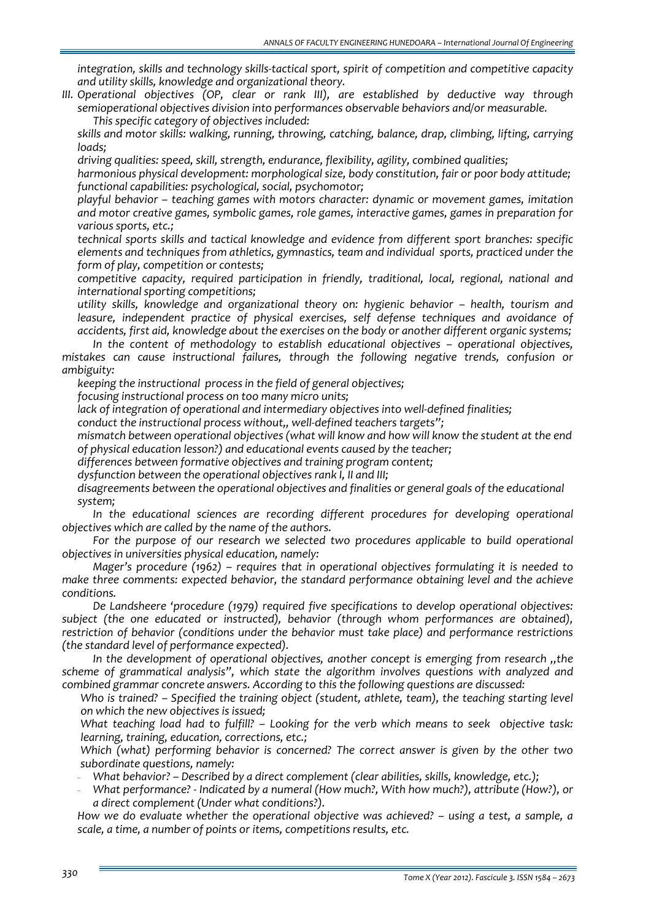*integration, skills and technology skills‐tactical sport, spirit of competition and competitive capacity and utility skills, knowledge and organizational theory.*

*III. Operational objectives (OP, clear or rank III), are established by deductive way through semioperational objectives division into performances observable behaviors and/or measurable. This specific category of objectives included:*

 *skills and motor skills: walking, running, throwing, catching, balance, drap, climbing, lifting, carrying loads;*

*driving qualities: speed, skill, strength, endurance, flexibility, agility, combined qualities;*

 *harmonious physical development: morphological size, body constitution, fair or poor body attitude; functional capabilities: psychological, social, psychomotor;*

 *playful behavior – teaching games with motors character: dynamic or movement games, imitation and motor creative games, symbolic games, role games, interactive games, games in preparation for various sports, etc.;*

 *technical sports skills and tactical knowledge and evidence from different sport branches: specific elements and techniques from athletics, gymnastics, team and individual sports, practiced under the form of play, competition or contests;*

 *competitive capacity, required participation in friendly, traditional, local, regional, national and internationalsporting competitions;*

 *utility skills, knowledge and organizational theory on: hygienic behavior – health, tourism and leasure, independent practice of physical exercises, self defense techniques and avoidance of accidents, first aid, knowledge about the exercises on the body or another different organic systems;*

*In the content of methodology to establish educational objectives – operational objectives, mistakes can cause instructional failures, through the following negative trends, confusion or ambiguity:*

*keeping the instructional process in the field of general objectives;*

*focusing instructional process on too many micro units;*

*lack of integration of operational and intermediary objectives into well‐defined finalities;*

*conduct the instructional process without,, well‐defined teachers targets";*

 *mismatch between operational objectives (what will know and how will know the student at the end of physical education lesson?) and educational events caused by the teacher;*

*differences between formative objectives and training program content;*

*dysfunction between the operational objectives rank I, II and III;*

 *disagreements between the operational objectives and finalities or general goals of the educational system;*

*In the educational sciences are recording different procedures for developing operational objectives which are called by the name of the authors.*

*For the purpose of our research we selected two procedures applicable to build operational objectives in universities physical education, namely:*

*Mager's procedure (1962) – requires that in operational objectives formulating it is needed to make three comments: expected behavior, the standard performance obtaining level and the achieve conditions.*

*De Landsheere 'procedure (1979) required five specifications to develop operational objectives: subject (the one educated or instructed), behavior (through whom performances are obtained), restriction of behavior (conditions under the behavior must take place) and performance restrictions (the standard level of performance expected).*

*In the development of operational objectives, another concept is emerging from research ,,the scheme of grammatical analysis", which state the algorithm involves questions with analyzed and combined grammar concrete answers. According to this the following questions are discussed:*

 *Who is trained? – Specified the training object (student, athlete, team), the teaching starting level on which the new objectives is issued;*

 *What teaching load had to fulfill? – Looking for the verb which means to seek objective task: learning, training, education, corrections, etc.;*

 *Which (what) performing behavior is concerned? The correct answer is given by the other two subordinate questions, namely:*

- *What behavior? – Described by a direct complement (clear abilities, skills, knowledge, etc.);*

- *What performance? ‐ Indicated by a numeral (How much?, With how much?), attribute (How?), or a direct complement (Under what conditions?).*

 *How we do evaluate whether the operational objective was achieved? – using a test, a sample, a scale, a time, a number of points or items, competitions results, etc.*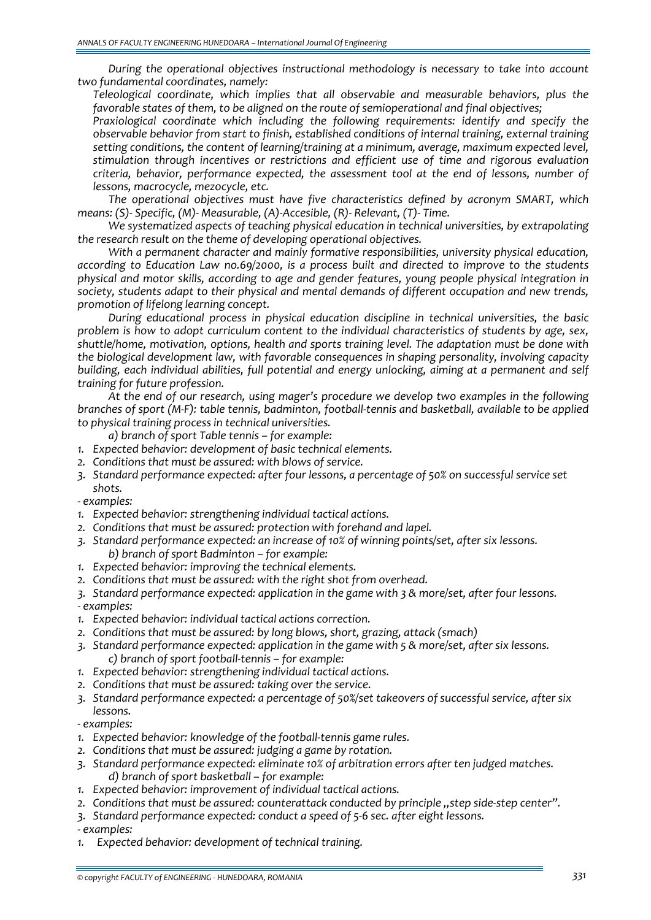*During the operational objectives instructional methodology is necessary to take into account two fundamental coordinates, namely:*

 *Teleological coordinate, which implies that all observable and measurable behaviors, plus the favorable states of them, to be aligned on the route of semioperational and final objectives;*

 *Praxiological coordinate which including the following requirements: identify and specify the observable behavior from start to finish, established conditions of internal training, external training setting conditions, the content of learning/training at a minimum, average, maximum expected level, stimulation through incentives or restrictions and efficient use of time and rigorous evaluation criteria, behavior, performance expected, the assessment tool at the end of lessons, number of lessons, macrocycle, mezocycle, etc.*

*The operational objectives must have five characteristics defined by acronym SMART, which means: (S)‐ Specific, (M)‐ Measurable, (A)‐Accesible, (R)‐ Relevant, (T)‐ Time.*

*We systematized aspects of teaching physical education in technical universities, by extrapolating the research result on the theme of developing operational objectives.*

*With a permanent character and mainly formative responsibilities, university physical education, according to Education Law no.69/2000, is a process built and directed to improve to the students physical and motor skills, according to age and gender features, young people physical integration in society, students adapt to their physical and mental demands of different occupation and new trends, promotion of lifelong learning concept.*

*During educational process in physical education discipline in technical universities, the basic problem is how to adopt curriculum content to the individual characteristics of students by age, sex, shuttle/home, motivation, options, health and sports training level. The adaptation must be done with the biological development law, with favorable consequences in shaping personality, involving capacity building, each individual abilities, full potential and energy unlocking, aiming at a permanent and self training for future profession.* 

*At the end of our research, using mager's procedure we develop two examples in the following* branches of sport (M-F): table tennis, badminton, football-tennis and basketball, available to be applied *to physical training process in technical universities.*

*a) branch of sport Table tennis – for example:*

- *1. Expected behavior: development of basic technical elements.*
- *2. Conditions that must be assured: with blows of service.*
- *3. Standard performance expected: after four lessons, a percentage of 50% on successful service set shots.*

*‐ examples:*

- *1. Expected behavior: strengthening individual tactical actions.*
- *2. Conditions that must be assured: protection with forehand and lapel.*
- *3. Standard performance expected: an increase of 10% of winning points/set, after six lessons. b) branch of sport Badminton – for example:*
- *1. Expected behavior: improving the technical elements.*
- *2. Conditions that must be assured: with the right shot from overhead.*

*3. Standard performance expected: application in the game with 3 & more/set, after four lessons. ‐ examples:*

- *1. Expected behavior: individual tactical actions correction.*
- *2. Conditions that must be assured: by long blows, short, grazing, attack (smach)*
- *3. Standard performance expected: application in the game with 5 & more/set, after six lessons. c) branch of sport football‐tennis – for example:*
- *1. Expected behavior: strengthening individual tactical actions.*
- *2. Conditions that must be assured: taking over the service.*
- *3. Standard performance expected: a percentage of 50%/set takeovers of successful service, after six lessons.*
- *‐ examples:*
- *1. Expected behavior: knowledge of the football‐tennis game rules.*
- *2. Conditions that must be assured: judging a game by rotation.*
- *3. Standard performance expected: eliminate 10% of arbitration errors after ten judged matches. d) branch of sport basketball – for example:*
- *1. Expected behavior: improvement of individual tactical actions.*
- *2. Conditions that must be assured: counterattack conducted by principle ,,step side‐step center".*
- *3. Standard performance expected: conduct a speed of 5‐6 sec. after eight lessons.*

*‐ examples:*

*1. Expected behavior: development of technical training.*